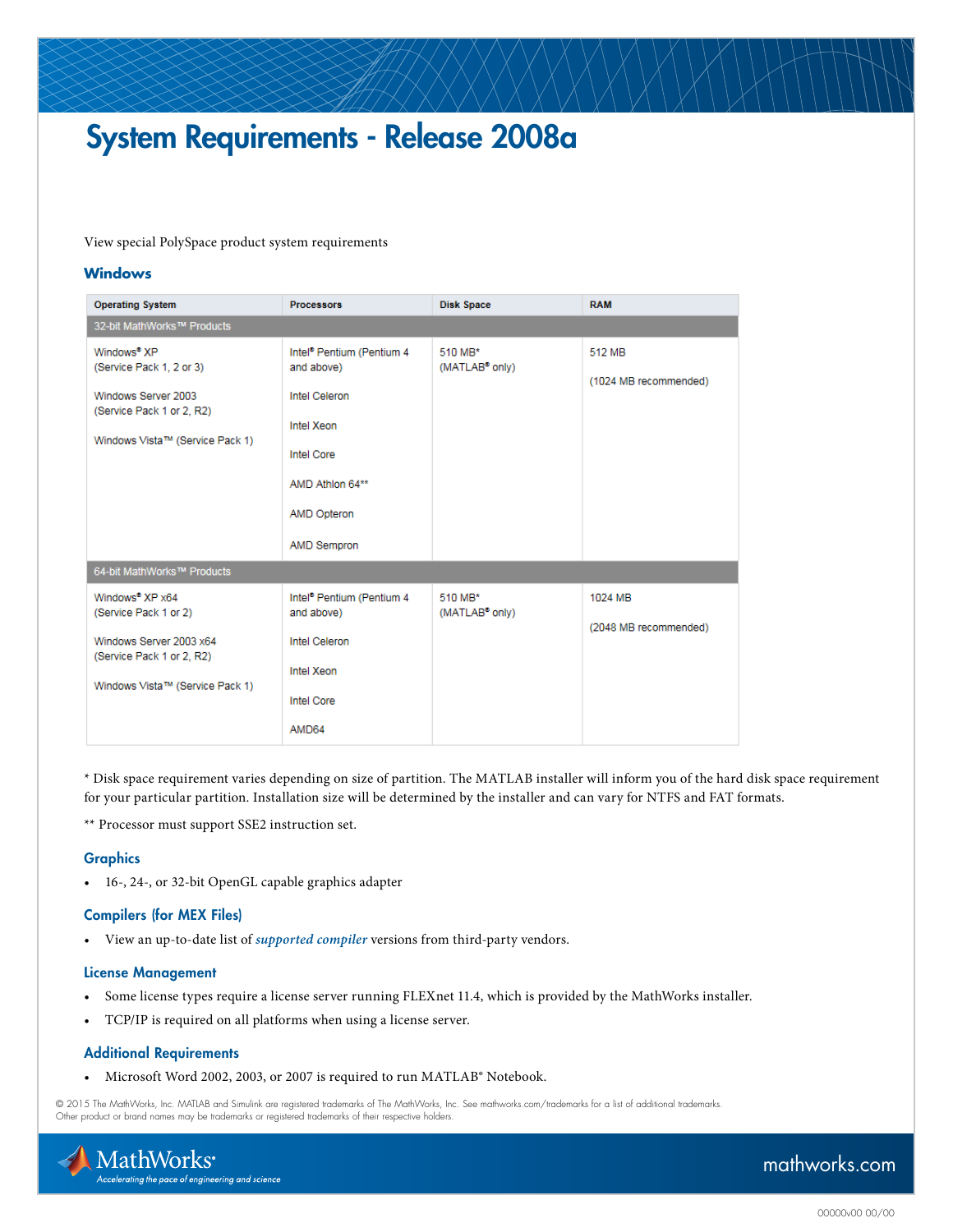# System Requirements - Release 2008a

[View special PolySpace product system requirements](http://www.mathworks.com/support/sysreq/release2006b/solaris.html)

## **Windows**

| <b>Operating System</b>                                                                                                                    | <b>Processors</b>                                   | <b>Disk Space</b>                     | <b>RAM</b>                      |
|--------------------------------------------------------------------------------------------------------------------------------------------|-----------------------------------------------------|---------------------------------------|---------------------------------|
| 32-bit MathWorks™ Products                                                                                                                 |                                                     |                                       |                                 |
| Windows <sup>®</sup> XP<br>(Service Pack 1, 2 or 3)<br>Windows Server 2003<br>(Service Pack 1 or 2, R2)<br>Windows Vista™ (Service Pack 1) | Intel <sup>®</sup> Pentium (Pentium 4<br>and above) | 510 MB*<br>(MATLAB <sup>®</sup> only) | 512 MB<br>(1024 MB recommended) |
|                                                                                                                                            | <b>Intel Celeron</b><br>Intel Xeon                  |                                       |                                 |
|                                                                                                                                            | <b>Intel Core</b>                                   |                                       |                                 |
|                                                                                                                                            | AMD Athlon 64**                                     |                                       |                                 |
|                                                                                                                                            | <b>AMD Opteron</b>                                  |                                       |                                 |
|                                                                                                                                            | AMD Sempron                                         |                                       |                                 |
| 64-bit MathWorks™ Products                                                                                                                 |                                                     |                                       |                                 |
| Windows <sup>®</sup> XP x64<br>(Service Pack 1 or 2)                                                                                       | Intel <sup>®</sup> Pentium (Pentium 4<br>and above) | 510 MB*<br>(MATLAB <sup>®</sup> only) | 1024 MB                         |
| Windows Server 2003 x64<br>(Service Pack 1 or 2, R2)                                                                                       | <b>Intel Celeron</b>                                |                                       | (2048 MB recommended)           |
| Windows Vista™ (Service Pack 1)                                                                                                            | Intel Xeon                                          |                                       |                                 |
|                                                                                                                                            | <b>Intel Core</b>                                   |                                       |                                 |
|                                                                                                                                            | AMD64                                               |                                       |                                 |

\* Disk space requirement varies depending on size of partition. The MATLAB installer will inform you of the hard disk space requirement for your particular partition. Installation size will be determined by the installer and can vary for NTFS and FAT formats.

\*\* Processor must support SSE2 instruction set.

#### **Graphics**

• 16-, 24-, or 32-bit OpenGL capable graphics adapter

#### Compilers (for MEX Files)

• View an up-to-date list of *[supported compiler](http://www.mathworks.com/support/compilers/release2008a/)* versions from third-party vendors.

#### License Management

- Some license types require a license server running FLEXnet 11.4, which is provided by the MathWorks installer.
- TCP/IP is required on all platforms when using a license server.

#### Additional Requirements

• Microsoft Word 2002, 2003, or 2007 is required to run MATLAB® Notebook.

© 2015 The MathWorks, Inc. MATLAB and Simulink are registered trademarks of The MathWorks, Inc. See [mathworks.com/trademarks](http://www.mathworks.com/trademarks) for a list of additional trademarks. Other product or brand names may be trademarks or registered trademarks of their respective holders.



## [mathworks.com](http://www.mathworks.com)